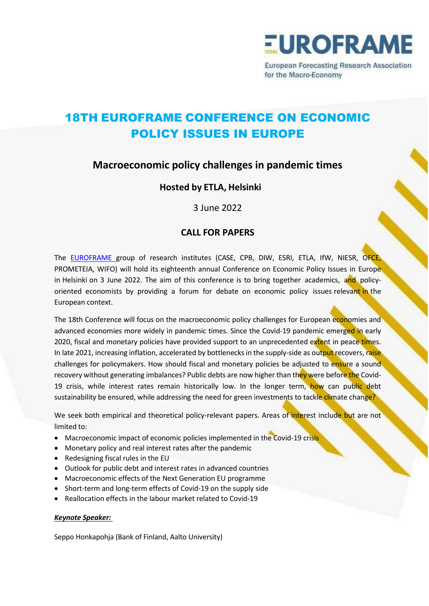

for the Macro-Economy

# 18TH EUROFRAME CONFERENCE ON ECONOMIC POLICY ISSUES IN EUROPE

# **Macroeconomic policy challenges in pandemic times**

## **Hosted by ETLA, Helsinki**

3 June 2022

## **CALL FOR PAPERS**

The [EUROFRAME](http://euroframe.org/) group of research institutes (CASE, CPB, DIW, ESRI, ETLA, IfW, NIESR, OFCE, PROMETEIA, WIFO) will hold its eighteenth annual Conference on Economic Policy Issues in Europe in Helsinki on 3 June 2022. The aim of this conference is to bring together academics, and policyoriented economists by providing a forum for debate on economic policy issues relevant in the European context.

The 18th Conference will focus on the macroeconomic policy challenges for European economies and advanced economies more widely in pandemic times. Since the Covid-19 pandemic emerged in early 2020, fiscal and monetary policies have provided support to an unprecedented extent in peace times. In late 2021, increasing inflation, accelerated by bottlenecks in the supply-side as output recovers, raise challenges for policymakers. How should fiscal and monetary policies be adjusted to ensure a sound recovery without generating imbalances? Public debts are now higher than they were before the Covid-19 crisis, while interest rates remain historically low. In the longer term, how can public debt sustainability be ensured, while addressing the need for green investments to tackle climate change?

We seek both empirical and theoretical policy-relevant papers. Areas of interest include but are not limited to:

- Macroeconomic impact of economic policies implemented in the Covid-19 crisis
- Monetary policy and real interest rates after the pandemic
- Redesigning fiscal rules in the EU
- Outlook for public debt and interest rates in advanced countries
- Macroeconomic effects of the Next Generation EU programme
- Short-term and long-term effects of Covid-19 on the supply side
- Reallocation effects in the labour market related to Covid-19

#### *Keynote Speaker:*

Seppo Honkapohja (Bank of Finland, Aalto University)